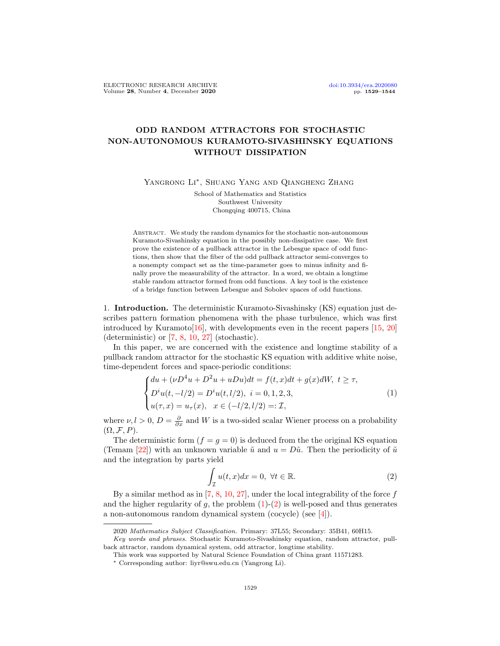## ODD RANDOM ATTRACTORS FOR STOCHASTIC NON-AUTONOMOUS KURAMOTO-SIVASHINSKY EQUATIONS WITHOUT DISSIPATION

YANGRONG LI<sup>\*</sup>, SHUANG YANG AND QIANGHENG ZHANG

School of Mathematics and Statistics Southwest University Chongqing 400715, China

ABSTRACT. We study the random dynamics for the stochastic non-autonomous Kuramoto-Sivashinsky equation in the possibly non-dissipative case. We first prove the existence of a pullback attractor in the Lebesgue space of odd functions, then show that the fiber of the odd pullback attractor semi-converges to a nonempty compact set as the time-parameter goes to minus infinity and finally prove the measurability of the attractor. In a word, we obtain a longtime stable random attractor formed from odd functions. A key tool is the existence of a bridge function between Lebesgue and Sobolev spaces of odd functions.

1. Introduction. The deterministic Kuramoto-Sivashinsky (KS) equation just describes pattern formation phenomena with the phase turbulence, which was first introduced by Kuramoto[\[16\]](#page-14-0), with developments even in the recent papers [\[15,](#page-14-1) [20\]](#page-15-0) (deterministic) or [\[7,](#page-14-2) [8,](#page-14-3) [10,](#page-14-4) [27\]](#page-15-1) (stochastic).

In this paper, we are concerned with the existence and longtime stability of a pullback random attractor for the stochastic KS equation with additive white noise, time-dependent forces and space-periodic conditions:

<span id="page-0-0"></span>
$$
\begin{cases} du + (\nu D^4 u + D^2 u + uDu)dt = f(t, x)dt + g(x)dW, \ t \ge \tau, \\ D^i u(t, -l/2) = D^i u(t, l/2), \ i = 0, 1, 2, 3, \\ u(\tau, x) = u_\tau(x), \ \ x \in (-l/2, l/2) =: \mathcal{I}, \end{cases}
$$
(1)

where  $\nu, l > 0, D = \frac{\partial}{\partial x}$  and W is a two-sided scalar Wiener process on a probability  $(\Omega, \mathcal{F}, P).$ 

The deterministic form  $(f = g = 0)$  is deduced from the the original KS equation (Temam [\[22\]](#page-15-2)) with an unknown variable  $\tilde{u}$  and  $u = D\tilde{u}$ . Then the periodicity of  $\tilde{u}$ and the integration by parts yield

<span id="page-0-1"></span>
$$
\int_{\mathcal{I}} u(t, x) dx = 0, \ \forall t \in \mathbb{R}.
$$
\n(2)

By a similar method as in  $[7, 8, 10, 27]$  $[7, 8, 10, 27]$  $[7, 8, 10, 27]$  $[7, 8, 10, 27]$  $[7, 8, 10, 27]$  $[7, 8, 10, 27]$  $[7, 8, 10, 27]$ , under the local integrability of the force f and the higher regularity of  $g$ , the problem  $(1)-(2)$  $(1)-(2)$  $(1)-(2)$  is well-posed and thus generates a non-autonomous random dynamical system (cocycle) (see [\[4\]](#page-14-5)).

<sup>2020</sup> Mathematics Subject Classification. Primary: 37L55; Secondary: 35B41, 60H15.

Key words and phrases. Stochastic Kuramoto-Sivashinsky equation, random attractor, pullback attractor, random dynamical system, odd attractor, longtime stability.

This work was supported by Natural Science Foundation of China grant 11571283.

<sup>∗</sup> Corresponding author: liyr@swu.edu.cn (Yangrong Li).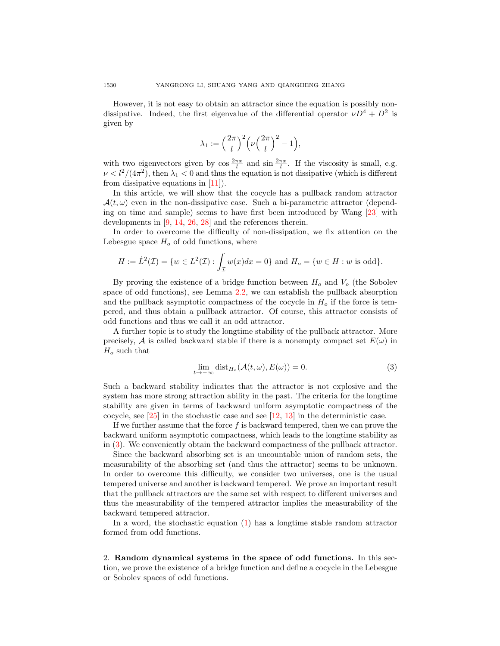However, it is not easy to obtain an attractor since the equation is possibly nondissipative. Indeed, the first eigenvalue of the differential operator  $\nu D^4 + D^2$  is given by

$$
\lambda_1 := \left(\frac{2\pi}{l}\right)^2 \left(\nu \left(\frac{2\pi}{l}\right)^2 - 1\right),\,
$$

with two eigenvectors given by  $\cos \frac{2\pi x}{l}$  and  $\sin \frac{2\pi x}{l}$ . If the viscosity is small, e.g.  $\nu < l^2/(4\pi^2)$ , then  $\lambda_1 < 0$  and thus the equation is not dissipative (which is different from dissipative equations in [\[11\]](#page-14-6)).

In this article, we will show that the cocycle has a pullback random attractor  $\mathcal{A}(t,\omega)$  even in the non-dissipative case. Such a bi-parametric attractor (depending on time and sample) seems to have first been introduced by Wang [\[23\]](#page-15-3) with developments in [\[9,](#page-14-7) [14,](#page-14-8) [26,](#page-15-4) [28\]](#page-15-5) and the references therein.

In order to overcome the difficulty of non-dissipation, we fix attention on the Lebesgue space  $H<sub>o</sub>$  of odd functions, where

$$
H := L^{2}(\mathcal{I}) = \{ w \in L^{2}(\mathcal{I}) : \int_{\mathcal{I}} w(x)dx = 0 \} \text{ and } H_{o} = \{ w \in H : w \text{ is odd} \}.
$$

By proving the existence of a bridge function between  $H<sub>o</sub>$  and  $V<sub>o</sub>$  (the Sobolev space of odd functions), see Lemma [2.2,](#page-2-0) we can establish the pullback absorption and the pullback asymptotic compactness of the cocycle in  $H<sub>o</sub>$  if the force is tempered, and thus obtain a pullback attractor. Of course, this attractor consists of odd functions and thus we call it an odd attractor.

A further topic is to study the longtime stability of the pullback attractor. More precisely, A is called backward stable if there is a nonempty compact set  $E(\omega)$  in  $H<sub>o</sub>$  such that

<span id="page-1-0"></span>
$$
\lim_{t \to -\infty} \text{dist}_{H_o}(\mathcal{A}(t,\omega), E(\omega)) = 0.
$$
\n(3)

Such a backward stability indicates that the attractor is not explosive and the system has more strong attraction ability in the past. The criteria for the longtime stability are given in terms of backward uniform asymptotic compactness of the cocycle, see  $[25]$  in the stochastic case and see  $[12, 13]$  $[12, 13]$  $[12, 13]$  in the deterministic case.

If we further assume that the force  $f$  is backward tempered, then we can prove the backward uniform asymptotic compactness, which leads to the longtime stability as in [\(3\)](#page-1-0). We conveniently obtain the backward compactness of the pullback attractor.

Since the backward absorbing set is an uncountable union of random sets, the measurability of the absorbing set (and thus the attractor) seems to be unknown. In order to overcome this difficulty, we consider two universes, one is the usual tempered universe and another is backward tempered. We prove an important result that the pullback attractors are the same set with respect to different universes and thus the measurability of the tempered attractor implies the measurability of the backward tempered attractor.

In a word, the stochastic equation  $(1)$  has a longtime stable random attractor formed from odd functions.

2. Random dynamical systems in the space of odd functions. In this section, we prove the existence of a bridge function and define a cocycle in the Lebesgue or Sobolev spaces of odd functions.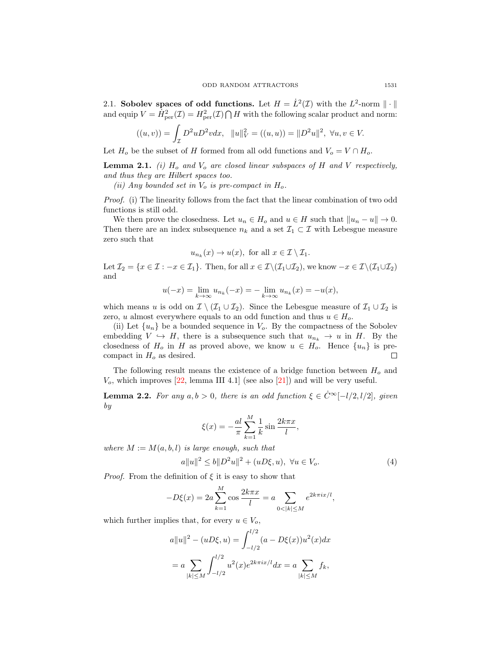2.1. Sobolev spaces of odd functions. Let  $H = \dot{L}^2(\mathcal{I})$  with the  $L^2$ -norm  $\|\cdot\|$ and equip  $V = \dot{H}_{\text{per}}^2(\mathcal{I}) = H_{\text{per}}^2(\mathcal{I}) \bigcap H$  with the following scalar product and norm:

$$
((u,v)) = \int_{\mathcal{I}} D^2 u D^2 v dx, \quad ||u||_V^2 = ((u,u)) = ||D^2 u||^2, \ \forall u, v \in V.
$$

Let  $H_o$  be the subset of H formed from all odd functions and  $V_o = V \cap H_o$ .

<span id="page-2-2"></span>**Lemma 2.1.** (i)  $H_o$  and  $V_o$  are closed linear subspaces of H and V respectively, and thus they are Hilbert spaces too.

(ii) Any bounded set in  $V_o$  is pre-compact in  $H_o$ .

Proof. (i) The linearity follows from the fact that the linear combination of two odd functions is still odd.

We then prove the closedness. Let  $u_n \in H_o$  and  $u \in H$  such that  $||u_n - u|| \to 0$ . Then there are an index subsequence  $n_k$  and a set  $\mathcal{I}_1 \subset \mathcal{I}$  with Lebesgue measure zero such that

$$
u_{n_k}(x) \to u(x)
$$
, for all  $x \in \mathcal{I} \setminus \mathcal{I}_1$ .

Let  $\mathcal{I}_2 = \{x \in \mathcal{I} : -x \in \mathcal{I}_1\}$ . Then, for all  $x \in \mathcal{I}\setminus(\mathcal{I}_1\cup\mathcal{I}_2)$ , we know  $-x \in \mathcal{I}\setminus(\mathcal{I}_1\cup\mathcal{I}_2)$ and

$$
u(-x) = \lim_{k \to \infty} u_{n_k}(-x) = -\lim_{k \to \infty} u_{n_k}(x) = -u(x),
$$

which means u is odd on  $\mathcal{I} \setminus (\mathcal{I}_1 \cup \mathcal{I}_2)$ . Since the Lebesgue measure of  $\mathcal{I}_1 \cup \mathcal{I}_2$  is zero, u almost everywhere equals to an odd function and thus  $u \in H_o$ .

(ii) Let  $\{u_n\}$  be a bounded sequence in  $V_o$ . By the compactness of the Sobolev embedding  $V \hookrightarrow H$ , there is a subsequence such that  $u_{n_k} \to u$  in H. By the closedness of  $H_o$  in H as proved above, we know  $u \in H_o$ . Hence  $\{u_n\}$  is precompact in  $H_o$  as desired.  $\Box$ 

The following result means the existence of a bridge function between  $H_0$  and  $V<sub>o</sub>$ , which improves [\[22,](#page-15-2) lemma III 4.1] (see also [\[21\]](#page-15-7)) and will be very useful.

<span id="page-2-0"></span>**Lemma 2.2.** For any  $a, b > 0$ , there is an odd function  $\xi \in C^{\infty}[-l/2, l/2]$ , given by

<span id="page-2-1"></span>
$$
\xi(x) = -\frac{al}{\pi} \sum_{k=1}^{M} \frac{1}{k} \sin \frac{2k\pi x}{l},
$$

where  $M := M(a, b, l)$  is large enough, such that

$$
a||u||^2 \le b||D^2u||^2 + (uD\xi, u), \ \forall u \in V_o.
$$
 (4)

*Proof.* From the definition of  $\xi$  it is easy to show that

$$
-D\xi(x) = 2a \sum_{k=1}^{M} \cos \frac{2k\pi x}{l} = a \sum_{0 < |k| \le M} e^{2k\pi i x/l},
$$

which further implies that, for every  $u\in V_o,$ 

$$
a||u||^2 - (uD\xi, u) = \int_{-l/2}^{l/2} (a - D\xi(x))u^2(x)dx
$$
  
=  $a \sum_{|k| \le M} \int_{-l/2}^{l/2} u^2(x)e^{2k\pi ix/l} dx = a \sum_{|k| \le M} f_k$ ,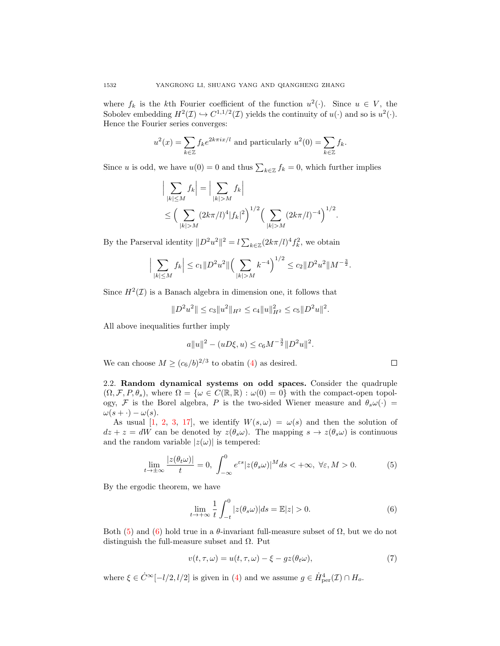where  $f_k$  is the k<sup>th</sup> Fourier coefficient of the function  $u^2(\cdot)$ . Since  $u \in V$ , the Sobolev embedding  $H^2(\mathcal{I}) \hookrightarrow C^{1,1/2}(\mathcal{I})$  yields the continuity of  $u(\cdot)$  and so is  $u^2(\cdot)$ . Hence the Fourier series converges:

$$
u^{2}(x) = \sum_{k \in \mathbb{Z}} f_{k} e^{2k\pi ix/l}
$$
 and particularly 
$$
u^{2}(0) = \sum_{k \in \mathbb{Z}} f_{k}.
$$

Since *u* is odd, we have  $u(0) = 0$  and thus  $\sum_{k \in \mathbb{Z}} f_k = 0$ , which further implies

$$
\left| \sum_{|k| \le M} f_k \right| = \left| \sum_{|k| > M} f_k \right|
$$
  
\n
$$
\le \left( \sum_{|k| > M} (2k\pi/l)^4 |f_k|^2 \right)^{1/2} \left( \sum_{|k| > M} (2k\pi/l)^{-4} \right)^{1/2}.
$$

By the Parserval identity  $||D^2u^2||^2 = l \sum_{k \in \mathbb{Z}} (2k\pi/l)^4 f_k^2$ , we obtain

$$
\Big|\sum_{|k| \le M} f_k\Big| \le c_1 \|D^2 u^2\| \Big(\sum_{|k| > M} k^{-4}\Big)^{1/2} \le c_2 \|D^2 u^2\| M^{-\frac{3}{2}}.
$$

Since  $H^2(\mathcal{I})$  is a Banach algebra in dimension one, it follows that

$$
||D^2u^2|| \leq c_3||u^2||_{H^2} \leq c_4||u||_{H^2}^2 \leq c_5||D^2u||^2.
$$

All above inequalities further imply

$$
a||u||^2 - (uD\xi, u) \le c_6 M^{-\frac{3}{2}} ||D^2u||^2.
$$

We can choose  $M \ge (c_6/b)^{2/3}$  to obatin [\(4\)](#page-2-1) as desired.

2.2. Random dynamical systems on odd spaces. Consider the quadruple  $(\Omega, \mathcal{F}, P, \theta_s)$ , where  $\Omega = {\omega \in C(\mathbb{R}, \mathbb{R}) : \omega(0) = 0}$  with the compact-open topology, F is the Borel algebra, P is the two-sided Wiener measure and  $\theta_s \omega(\cdot)$  =  $\omega(s + \cdot) - \omega(s)$ .

As usual [\[1,](#page-14-11) [2,](#page-14-12) [3,](#page-14-13) [17\]](#page-14-14), we identify  $W(s, \omega) = \omega(s)$  and then the solution of  $dz + z = dW$  can be denoted by  $z(\theta_s \omega)$ . The mapping  $s \to z(\theta_s \omega)$  is continuous and the random variable  $|z(\omega)|$  is tempered:

$$
\lim_{t \to \pm \infty} \frac{|z(\theta_t \omega)|}{t} = 0, \int_{-\infty}^0 e^{\varepsilon s} |z(\theta_s \omega)|^M ds < +\infty, \ \forall \varepsilon, M > 0.
$$
 (5)

By the ergodic theorem, we have

$$
\lim_{t \to +\infty} \frac{1}{t} \int_{-t}^{0} |z(\theta_s \omega)| ds = \mathbb{E}|z| > 0.
$$
 (6)

Both [\(5\)](#page-3-0) and [\(6\)](#page-3-1) hold true in a  $\theta$ -invariant full-measure subset of  $\Omega$ , but we do not distinguish the full-measure subset and  $\Omega$ . Put

$$
v(t, \tau, \omega) = u(t, \tau, \omega) - \xi - gz(\theta_t \omega), \tag{7}
$$

where  $\xi \in \dot{C}^{\infty}[-l/2, l/2]$  is given in [\(4\)](#page-2-1) and we assume  $g \in \dot{H}^4_{\text{per}}(\mathcal{I}) \cap H_o$ .

<span id="page-3-2"></span><span id="page-3-1"></span><span id="page-3-0"></span>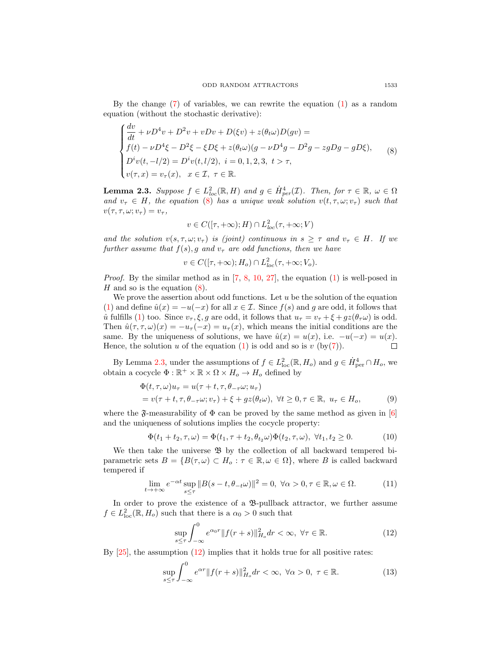By the change [\(7\)](#page-3-2) of variables, we can rewrite the equation [\(1\)](#page-0-0) as a random equation (without the stochastic derivative):

<span id="page-4-0"></span>
$$
\begin{cases}\n\frac{dv}{dt} + \nu D^4 v + D^2 v + vDv + D(\xi v) + z(\theta_t \omega)D(gv) = \\
f(t) - \nu D^4 \xi - D^2 \xi - \xi D \xi + z(\theta_t \omega)(g - \nu D^4 g - D^2 g - zgDg - gD \xi), \\
D^i v(t, -l/2) = D^i v(t, l/2), \quad i = 0, 1, 2, 3, \quad t > \tau, \\
v(\tau, x) = v_\tau(x), \quad x \in \mathcal{I}, \quad \tau \in \mathbb{R}.\n\end{cases} (8)
$$

<span id="page-4-1"></span>**Lemma 2.3.** Suppose  $f \in L^2_{loc}(\mathbb{R}, H)$  and  $g \in \dot{H}^4_{per}(\mathcal{I})$ . Then, for  $\tau \in \mathbb{R}$ ,  $\omega \in \Omega$ and  $v_\tau \in H$ , the equation [\(8\)](#page-4-0) has a unique weak solution  $v(t, \tau, \omega; v_\tau)$  such that  $v(\tau, \tau, \omega; v_\tau) = v_\tau,$ 

$$
v \in C([\tau, +\infty); H) \cap L^2_{loc}(\tau, +\infty; V)
$$

and the solution  $v(s, \tau, \omega; v_{\tau})$  is (joint) continuous in  $s \geq \tau$  and  $v_{\tau} \in H$ . If we further assume that  $f(s)$ , g and  $v<sub>\tau</sub>$  are odd functions, then we have

$$
v \in C([\tau, +\infty); H_o) \cap L^2_{loc}(\tau, +\infty; V_o).
$$

*Proof.* By the similar method as in  $[7, 8, 10, 27]$  $[7, 8, 10, 27]$  $[7, 8, 10, 27]$  $[7, 8, 10, 27]$  $[7, 8, 10, 27]$  $[7, 8, 10, 27]$  $[7, 8, 10, 27]$ , the equation  $(1)$  is well-posed in  $H$  and so is the equation  $(8)$ .

We prove the assertion about odd functions. Let  $u$  be the solution of the equation [\(1\)](#page-0-0) and define  $\hat{u}(x) = -u(-x)$  for all  $x \in \mathcal{I}$ . Since  $f(s)$  and g are odd, it follows that  $\hat{u}$  fulfills [\(1\)](#page-0-0) too. Since  $v_{\tau}$ ,  $\xi$ , g are odd, it follows that  $u_{\tau} = v_{\tau} + \xi + gz(\theta_{\tau}\omega)$  is odd. Then  $\hat{u}(\tau, \tau, \omega)(x) = -u_{\tau}(-x) = u_{\tau}(x)$ , which means the initial conditions are the same. By the uniqueness of solutions, we have  $\hat{u}(x) = u(x)$ , i.e.  $-u(-x) = u(x)$ . Hence, the solution u of the equation  $(1)$  is odd and so is v  $(by(7))$  $(by(7))$  $(by(7))$ .  $\Box$ 

By Lemma [2.3,](#page-4-1) under the assumptions of  $f \in L^2_{loc}(\mathbb{R}, H_o)$  and  $g \in \dot{H}_{per}^4 \cap H_o$ , we obtain a cocycle  $\Phi : \mathbb{R}^+ \times \mathbb{R} \times \Omega \times H_o \to H_o$  defined by

$$
\Phi(t,\tau,\omega)u_{\tau} = u(\tau + t, \tau, \theta_{-\tau}\omega; u_{\tau})
$$
  
=  $v(\tau + t, \tau, \theta_{-\tau}\omega; v_{\tau}) + \xi + gz(\theta_t\omega), \ \forall t \ge 0, \tau \in \mathbb{R}, \ u_{\tau} \in H_o,$  (9)

where the  $\mathfrak{F}\text{-measurability}$  of  $\Phi$  can be proved by the same method as given in [\[6\]](#page-14-15) and the uniqueness of solutions implies the cocycle property:

$$
\Phi(t_1 + t_2, \tau, \omega) = \Phi(t_1, \tau + t_2, \theta_{t_2} \omega) \Phi(t_2, \tau, \omega), \ \forall t_1, t_2 \ge 0.
$$
 (10)

We then take the universe  $\mathfrak B$  by the collection of all backward tempered biparametric sets  $B = \{B(\tau, \omega) \subset H_o : \tau \in \mathbb{R}, \omega \in \Omega\}$ , where B is called backward tempered if

$$
\lim_{t \to +\infty} e^{-\alpha t} \sup_{s \le \tau} \|B(s - t, \theta_{-t}\omega)\|^2 = 0, \ \forall \alpha > 0, \tau \in \mathbb{R}, \omega \in \Omega.
$$
 (11)

In order to prove the existence of a B-pullback attractor, we further assume  $f \in L^2_{loc}(\mathbb{R}, H_o)$  such that there is a  $\alpha_0 > 0$  such that

<span id="page-4-5"></span><span id="page-4-4"></span><span id="page-4-3"></span><span id="page-4-2"></span>
$$
\sup_{s\leq\tau} \int_{-\infty}^{0} e^{\alpha_0 r} \|f(r+s)\|_{H_o}^2 dr < \infty, \ \forall \tau \in \mathbb{R}.
$$
 (12)

By  $[25]$ , the assumption  $(12)$  implies that it holds true for all positive rates:

$$
\sup_{s\leq\tau}\int_{-\infty}^{0}e^{\alpha r}\|f(r+s)\|_{H_o}^2dr<\infty,\,\,\forall\alpha>0,\,\,\tau\in\mathbb{R}.\tag{13}
$$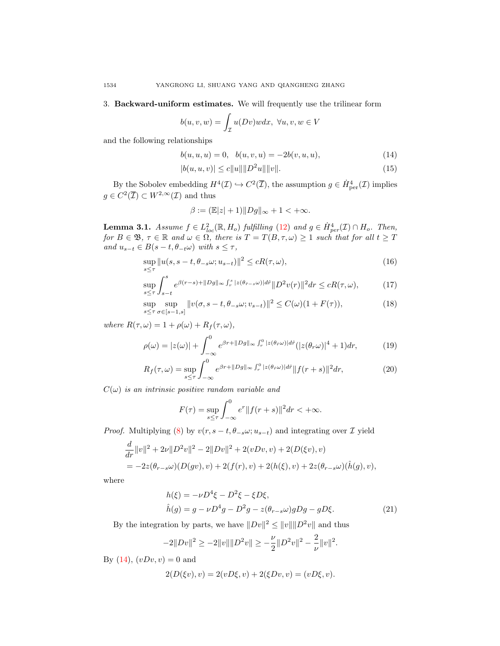3. Backward-uniform estimates. We will frequently use the trilinear form

$$
b(u, v, w) = \int_{\mathcal{I}} u(Dv) w dx, \ \forall u, v, w \in V
$$

and the following relationships

$$
b(u, u, u) = 0, \quad b(u, v, u) = -2b(v, u, u), \tag{14}
$$

$$
|b(u, u, v)| \le c||u|| ||D^2u|| ||v||.
$$
\n(15)

By the Sobolev embedding  $H^4(\mathcal{I}) \hookrightarrow C^2(\overline{\mathcal{I}})$ , the assumption  $g \in \dot{H}^4_{\text{per}}(\mathcal{I})$  implies  $g \in C^2(\overline{\mathcal{I}}) \subset W^{2,\infty}(\mathcal{I})$  and thus

<span id="page-5-5"></span><span id="page-5-3"></span><span id="page-5-2"></span><span id="page-5-1"></span><span id="page-5-0"></span>
$$
\beta := (\mathbb{E}|z| + 1) \|Dg\|_{\infty} + 1 < +\infty.
$$

<span id="page-5-6"></span>**Lemma 3.1.** Assume  $f \in L^2_{loc}(\mathbb{R}, H_o)$  fulfilling [\(12\)](#page-4-2) and  $g \in \dot{H}^4_{per}(\mathcal{I}) \cap H_o$ . Then, for  $B \in \mathfrak{B}$ ,  $\tau \in \mathbb{R}$  and  $\omega \in \Omega$ , there is  $T = T(B, \tau, \omega) \geq 1$  such that for all  $t \geq T$ and  $u_{s-t} \in B(s-t, \theta_{-t}\omega)$  with  $s \leq \tau$ ,

$$
\sup_{s \le \tau} \|u(s, s-t, \theta_{-s}\omega; u_{s-t})\|^2 \le cR(\tau, \omega),\tag{16}
$$

$$
\sup_{s\le\tau} \int_{s-t}^s e^{\beta(r-s)+\|Dg\|_\infty \int_r^s |z(\theta_{\hat{r}-s}\omega)|d\hat{r}} \|D^2v(r)\|^2 dr \le cR(\tau,\omega),\tag{17}
$$

$$
\sup_{s \le \tau} \sup_{\sigma \in [s-1,s]} \|v(\sigma, s-t, \theta_{-s}\omega; v_{s-t})\|^2 \le C(\omega)(1 + F(\tau)),
$$
\n(18)

where  $R(\tau, \omega) = 1 + \rho(\omega) + R_f(\tau, \omega),$ 

$$
\rho(\omega) = |z(\omega)| + \int_{-\infty}^{0} e^{\beta r + ||Dg||_{\infty} \int_{r}^{0} |z(\theta_{\hat{r}}\omega)| d\hat{r}} (|z(\theta_{r}\omega)|^{4} + 1) dr, \tag{19}
$$

$$
R_f(\tau,\omega) = \sup_{s \le \tau} \int_{-\infty}^0 e^{\beta r + ||Dg||_{\infty} \int_r^0 |z(\theta \cdot \omega)| d\hat{r}} ||f(r+s)||^2 dr,\tag{20}
$$

 $C(\omega)$  is an intrinsic positive random variable and

<span id="page-5-8"></span><span id="page-5-7"></span>
$$
F(\tau) = \sup_{s \le \tau} \int_{-\infty}^{0} e^{\tau} ||f(r+s)||^{2} dr < +\infty.
$$

*Proof.* Multiplying [\(8\)](#page-4-0) by  $v(r, s - t, \theta_{-s}\omega; u_{s-t})$  and integrating over  $\mathcal I$  yield

$$
\frac{d}{dr}||v||^2 + 2\nu||D^2v||^2 - 2||Dv||^2 + 2(vDv, v) + 2(D(\xi v), v)
$$
  
=  $-2z(\theta_{r-s}\omega)(D(gv), v) + 2(f(r), v) + 2(h(\xi), v) + 2z(\theta_{r-s}\omega)(\hat{h}(g), v),$ 

where

<span id="page-5-4"></span>
$$
h(\xi) = -\nu D^4 \xi - D^2 \xi - \xi D \xi,
$$
  
\n
$$
\hat{h}(g) = g - \nu D^4 g - D^2 g - z(\theta_{r-s}\omega)gDg - gD\xi.
$$
\n(21)

By the integration by parts, we have  $||Dv||^2 \le ||v|| ||D^2v||$  and thus

$$
-2||Dv||^2 \ge -2||v|| ||D^2v|| \ge -\frac{\nu}{2}||D^2v||^2 - \frac{2}{\nu}||v||^2.
$$

By [\(14\)](#page-5-0),  $(vDv, v) = 0$  and

$$
2(D(\xi v), v) = 2(vD\xi, v) + 2(\xi Dv, v) = (vD\xi, v).
$$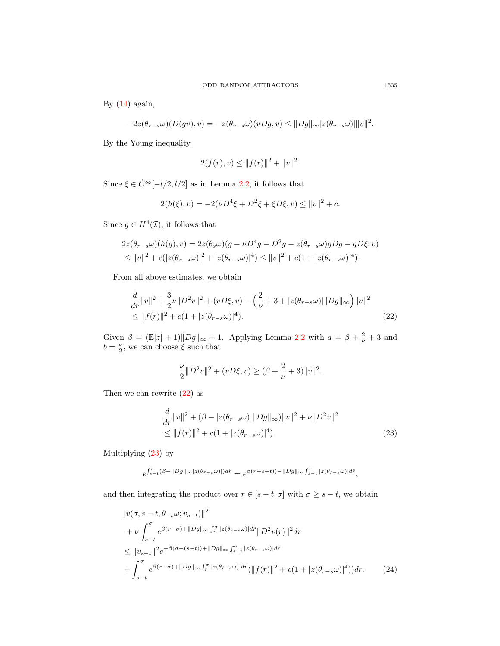By  $(14)$  again,

$$
-2z(\theta_{r-s}\omega)(D(gv),v) = -z(\theta_{r-s}\omega)(vDg,v) \leq ||Dg||_{\infty} |z(\theta_{r-s}\omega)||v||^2.
$$

By the Young inequality,

$$
2(f(r), v) \le ||f(r)||^2 + ||v||^2.
$$

Since  $\xi \in \dot{C}^{\infty}[-l/2, l/2]$  as in Lemma [2.2,](#page-2-0) it follows that

$$
2(h(\xi), v) = -2(\nu D^4 \xi + D^2 \xi + \xi D \xi, v) \le ||v||^2 + c.
$$

Since  $g \in H^4(\mathcal{I})$ , it follows that

$$
2z(\theta_{r-s}\omega)(h(g), v) = 2z(\theta_s\omega)(g - \nu D^4 g - D^2 g - z(\theta_{r-s}\omega)gDg - gD\xi, v)
$$
  
\$\leq \|v\|^2 + c(|z(\theta\_{r-s}\omega)|^2 + |z(\theta\_{r-s}\omega)|^4) \leq \|v\|^2 + c(1 + |z(\theta\_{r-s}\omega)|^4).

From all above estimates, we obtain

$$
\frac{d}{dr}||v||^2 + \frac{3}{2}\nu||D^2v||^2 + (vD\xi, v) - \left(\frac{2}{\nu} + 3 + |z(\theta_{r-s}\omega)|||Dg||_{\infty}\right)||v||^2
$$
\n
$$
\leq ||f(r)||^2 + c(1 + |z(\theta_{r-s}\omega)|^4). \tag{22}
$$

Given  $\beta = (\mathbb{E}|z| + 1) \|Dg\|_{\infty} + 1$ . Applying Lemma [2.2](#page-2-0) with  $a = \beta + \frac{2}{\nu} + 3$  and  $b = \frac{\nu}{2}$ , we can choose  $\xi$  such that

<span id="page-6-1"></span><span id="page-6-0"></span>
$$
\frac{\nu}{2}||D^2v||^2 + (vD\xi, v) \ge (\beta + \frac{2}{\nu} + 3)||v||^2.
$$

Then we can rewrite [\(22\)](#page-6-0) as

$$
\frac{d}{dr}||v||^2 + (\beta - |z(\theta_{r-s}\omega)|||Dg||_{\infty})||v||^2 + \nu||D^2v||^2
$$
  
\n
$$
\leq ||f(r)||^2 + c(1 + |z(\theta_{r-s}\omega)|^4).
$$
\n(23)

Multiplying [\(23\)](#page-6-1) by

<span id="page-6-2"></span>
$$
e^{\int_{s-t}^r(\beta-||Dg||_{\infty}|z(\theta_{\hat{r}-s}\omega)|)d\hat{r}}=e^{\beta(r-s+t))-\Vert Dg\Vert_{\infty}\int_{s-t}^r|z(\theta_{\hat{r}-s}\omega)|d\hat{r}},
$$

and then integrating the product over  $r \in [s-t, \sigma]$  with  $\sigma \geq s-t$ , we obtain

$$
\|v(\sigma, s-t, \theta_{-s}\omega; v_{s-t})\|^2
$$
  
+  $\nu \int_{s-t}^{\sigma} e^{\beta(r-\sigma)+\|Dg\|_{\infty}} \int_{r}^{\sigma} |z(\theta_{\hat{r}-s}\omega)| d\hat{r} \|D^2 v(r)\|^2 dr$   

$$
\leq \|v_{s-t}\|^2 e^{-\beta(\sigma-(s-t))+\|Dg\|_{\infty}} \int_{s-t}^{\sigma} |z(\theta_{r-s}\omega)| dr
$$
  
+  $\int_{s-t}^{\sigma} e^{\beta(r-\sigma)+\|Dg\|_{\infty}} \int_{r}^{\sigma} |z(\theta_{\hat{r}-s}\omega)| d\hat{r} (\|f(r)\|^2 + c(1+|z(\theta_{r-s}\omega)|^4)) dr.$  (24)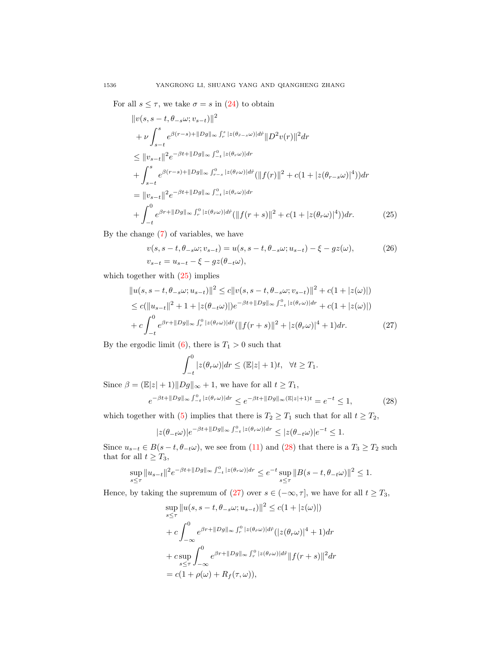For all  $s \leq \tau$ , we take  $\sigma = s$  in [\(24\)](#page-6-2) to obtain

$$
\|v(s, s - t, \theta_{-s}\omega; v_{s-t})\|^2
$$
  
+  $\nu \int_{s-t}^s e^{\beta(r-s)+\|Dg\|_{\infty} \int_r^s |z(\theta_{\hat{r}-s}\omega)| d\hat{r}} \|D^2 v(r)\|^2 dr$   
 $\leq \|v_{s-t}\|^2 e^{-\beta t + \|Dg\|_{\infty} \int_{-t}^0 |z(\theta_r \omega)| dr}$   
+  $\int_{s-t}^s e^{\beta(r-s)+\|Dg\|_{\infty} \int_{r-s}^0 |z(\theta_r \omega)| d\hat{r}} (\|f(r)\|^2 + c(1 + |z(\theta_{r-s}\omega)|^4)) dr$   
=  $\|v_{s-t}\|^2 e^{-\beta t + \|Dg\|_{\infty} \int_{-t}^0 |z(\theta_r \omega)| dr}$   
+  $\int_{-t}^0 e^{\beta r + \|Dg\|_{\infty} \int_r^0 |z(\theta_r \omega)| d\hat{r}} (\|f(r+s)\|^2 + c(1 + |z(\theta_r \omega)|^4)) dr.$  (25)

By the change [\(7\)](#page-3-2) of variables, we have

<span id="page-7-0"></span>
$$
v(s, s-t, \theta_{-s}\omega; v_{s-t}) = u(s, s-t, \theta_{-s}\omega; u_{s-t}) - \xi - gz(\omega),
$$
  
\n
$$
v_{s-t} = u_{s-t} - \xi - gz(\theta_{-t}\omega),
$$
\n(26)

which together with  $(25)$  implies

$$
||u(s, s-t, \theta_{-s}\omega; u_{s-t})||^2 \leq c||v(s, s-t, \theta_{-s}\omega; v_{s-t})||^2 + c(1+|z(\omega)|)
$$
  
\n
$$
\leq c(||u_{s-t}||^2 + 1 + |z(\theta_{-t}\omega)||e^{-\beta t + ||Dg||_{\infty}} \int_{-t}^{0} |z(\theta_r\omega)| dr + c(1+|z(\omega)|)
$$
  
\n
$$
+ c \int_{-t}^{0} e^{\beta r + ||Dg||_{\infty}} \int_{r}^{0} |z(\theta_r\omega)| d\hat{r} (||f(r+s)||^2 + |z(\theta_r\omega)|^4 + 1) dr.
$$
 (27)

By the ergodic limit [\(6\)](#page-3-1), there is  $T_1 > 0$  such that

<span id="page-7-3"></span><span id="page-7-2"></span><span id="page-7-1"></span>
$$
\int_{-t}^{0} |z(\theta_r \omega)| dr \leq (\mathbb{E}|z| + 1)t, \quad \forall t \geq T_1.
$$

Since  $\beta = (\mathbb{E} |z| + 1) \|Dg\|_{\infty} + 1$ , we have for all  $t \geq T_1$ ,

$$
e^{-\beta t + \|Dg\|_{\infty} \int_{-t}^{0} |z(\theta_r \omega)| dr} \le e^{-\beta t + \|Dg\|_{\infty} (\mathbb{E}|z| + 1)t} = e^{-t} \le 1,
$$
\n(28)

which together with [\(5\)](#page-3-0) implies that there is  $T_2 \ge T_1$  such that for all  $t \ge T_2$ ,

$$
|z(\theta_{-t}\omega)|e^{-\beta t+\|Dg\|_\infty\int_{-t}^0|z(\theta_r\omega)|dr}\leq|z(\theta_{-t}\omega)|e^{-t}\leq1.
$$

Since  $u_{s-t} \in B(s-t, \theta_{-t}\omega)$ , we see from [\(11\)](#page-4-3) and [\(28\)](#page-7-1) that there is a  $T_3 \geq T_2$  such that for all  $t \geq T_3$ ,

$$
\sup_{s\leq \tau}\|u_{s-t}\|^2e^{-\beta t+\|Dg\|_\infty\int_{-t}^0|z(\theta_r\omega)|dr}\leq e^{-t}\sup_{s\leq \tau}\|B(s-t,\theta_{-t}\omega)\|^2\leq 1.
$$

Hence, by taking the supremum of [\(27\)](#page-7-2) over  $s \in (-\infty, \tau]$ , we have for all  $t \geq T_3$ ,

$$
\sup_{s\leq\tau} \|u(s, s-t, \theta_{-s}\omega; u_{s-t})\|^2 \leq c(1+|z(\omega)|)
$$
  
+ 
$$
c \int_{-\infty}^0 e^{\beta r + \|Dg\|_{\infty} \int_r^0 |z(\theta_r\omega)| d\hat{r}} (|z(\theta_r\omega)|^4 + 1) dr
$$
  
+ 
$$
c \sup_{s\leq\tau} \int_{-\infty}^0 e^{\beta r + \|Dg\|_{\infty} \int_r^0 |z(\theta_r\omega)| d\hat{r}} \|f(r+s)\|^2 dr
$$
  
= 
$$
c(1+\rho(\omega) + R_f(\tau, \omega)),
$$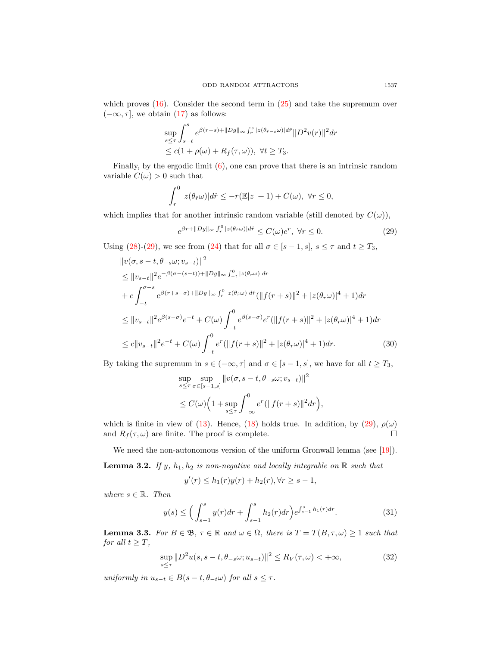which proves  $(16)$ . Consider the second term in  $(25)$  and take the supremum over  $(-\infty, \tau]$ , we obtain [\(17\)](#page-5-2) as follows:

$$
\sup_{s\leq \tau}\int_{s-t}^s e^{\beta(r-s)+\|Dg\|_\infty\int_r^s |z(\theta_{\hat{r}-s}\omega)|d\hat{r}} \|D^2v(r)\|^2 dr
$$
  

$$
\leq c(1+\rho(\omega)+R_f(\tau,\omega)), \ \forall t\geq T_3.
$$

Finally, by the ergodic limit [\(6\)](#page-3-1), one can prove that there is an intrinsic random variable  $C(\omega) > 0$  such that

$$
\int_r^0 |z(\theta_f \omega)| d\hat{r} \leq -r(\mathbb{E}|z|+1) + C(\omega), \ \forall r \leq 0,
$$

which implies that for another intrinsic random variable (still denoted by  $C(\omega)$ ),

<span id="page-8-0"></span>
$$
e^{\beta r + ||Dg||_{\infty} \int_r^0 |z(\theta_r \omega)| d\hat{r}} \le C(\omega) e^r, \ \forall r \le 0. \tag{29}
$$

Using [\(28\)](#page-7-1)-[\(29\)](#page-8-0), we see from [\(24\)](#page-6-2) that for all  $\sigma \in [s-1, s]$ ,  $s \leq \tau$  and  $t \geq T_3$ ,

$$
\|v(\sigma, s - t, \theta_{-s}\omega; v_{s-t})\|^2
$$
\n
$$
\leq \|v_{s-t}\|^2 e^{-\beta(\sigma - (s-t)) + \|Dg\|_{\infty} \int_{-t}^0 |z(\theta_r \omega)| dr}
$$
\n
$$
+ c \int_{-t}^{\sigma - s} e^{\beta(r+s-\sigma) + \|Dg\|_{\infty} \int_r^0 |z(\theta_r \omega)| d\hat{r}} (\|f(r+s)\|^2 + |z(\theta_r \omega)|^4 + 1) dr
$$
\n
$$
\leq \|v_{s-t}\|^2 e^{\beta(s-\sigma)} e^{-t} + C(\omega) \int_{-t}^0 e^{\beta(s-\sigma)} e^r (\|f(r+s)\|^2 + |z(\theta_r \omega)|^4 + 1) dr
$$
\n
$$
\leq c \|v_{s-t}\|^2 e^{-t} + C(\omega) \int_{-t}^0 e^r (\|f(r+s)\|^2 + |z(\theta_r \omega)|^4 + 1) dr. \tag{30}
$$

By taking the supremum in  $s \in (-\infty, \tau]$  and  $\sigma \in [s-1, s]$ , we have for all  $t \geq T_3$ ,

$$
\sup_{s \le \tau} \sup_{\sigma \in [s-1,s]} \|v(\sigma, s-t, \theta_{-s}\omega; v_{s-t})\|^2
$$
  

$$
\le C(\omega) \Big(1 + \sup_{s \le \tau} \int_{-\infty}^0 e^r (\|f(r+s)\|^2 dr\Big),
$$

which is finite in view of [\(13\)](#page-4-4). Hence, [\(18\)](#page-5-3) holds true. In addition, by [\(29\)](#page-8-0),  $\rho(\omega)$ and  $R_f(\tau,\omega)$  are finite. The proof is complete.  $\Box$ 

We need the non-autonomous version of the uniform Gronwall lemma (see [\[19\]](#page-14-16)). **Lemma 3.2.** If y,  $h_1, h_2$  is non-negative and locally integrable on  $\mathbb{R}$  such that

<span id="page-8-2"></span><span id="page-8-1"></span>
$$
y'(r) \le h_1(r)y(r) + h_2(r), \forall r \ge s - 1,
$$

where  $s \in \mathbb{R}$ . Then

$$
y(s) \le \left(\int_{s-1}^{s} y(r)dr + \int_{s-1}^{s} h_2(r)dr\right) e^{\int_{s-1}^{s} h_1(r)dr}.\tag{31}
$$

<span id="page-8-3"></span>**Lemma 3.3.** For  $B \in \mathfrak{B}$ ,  $\tau \in \mathbb{R}$  and  $\omega \in \Omega$ , there is  $T = T(B, \tau, \omega) \geq 1$  such that for all  $t \geq T$ ,

$$
\sup_{s\leq\tau} \|D^2 u(s, s-t, \theta_{-s}\omega; u_{s-t})\|^2 \leq R_V(\tau, \omega) < +\infty,
$$
\n(32)

uniformly in  $u_{s-t} \in B(s-t, \theta_{-t}\omega)$  for all  $s \leq \tau$ .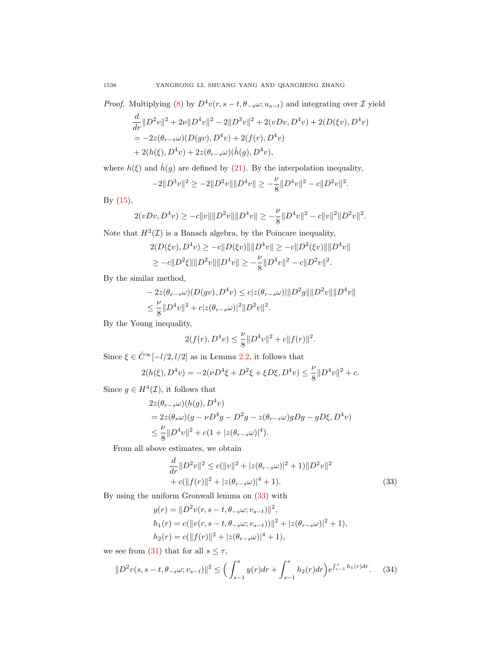*Proof.* Multiplying [\(8\)](#page-4-0) by  $D^4v(r, s-t, \theta_{-s}\omega; u_{s-t})$  and integrating over  $\mathcal I$  yield

$$
\frac{d}{dr}||D^2v||^2 + 2\nu||D^4v||^2 - 2||D^3v||^2 + 2(vDv, D^4v) + 2(D(\xi v), D^4v) \n= -2z(\theta_{r-s}\omega)(D(gv), D^4v) + 2(f(r), D^4v) \n+ 2(h(\xi), D^4v) + 2z(\theta_{r-s}\omega)(\hat{h}(g), D^4v),
$$

where  $h(\xi)$  and  $\hat{h}(g)$  are defined by [\(21\)](#page-5-4). By the interpolation inequality,

$$
-2||D^{3}v||^{2} \ge -2||D^{2}v|| ||D^{4}v|| \ge -\frac{\nu}{8}||D^{4}v||^{2} - c||D^{2}v||^{2}.
$$

By [\(15\)](#page-5-5),

$$
2(vDv, D^4v) \ge -c||v|| ||D^2v|| ||D^4v|| \ge -\frac{\nu}{8}||D^4v||^2 - c||v||^2||D^2v||^2.
$$

Note that  $H^2(\mathcal{I})$  is a Banach algebra, by the Poincare inequality,

$$
2(D(\xi v), D^4 v) \ge -c||D(\xi v)|| ||D^4 v|| \ge -c||D^2(\xi v)|| ||D^4 v||
$$
  
 
$$
\ge -c||D^2 \xi|| ||D^2 v|| ||D^4 v|| \ge -\frac{\nu}{8}||D^4 v||^2 - c||D^2 v||^2.
$$

By the similar method,

$$
- 2z(\theta_{r-s}\omega)(D(gv), D^4v) \le c|z(\theta_{r-s}\omega)|||D^2g|\|D^2v\| \|D^4v\|
$$
  

$$
\le \frac{\nu}{8}||D^4v||^2 + c|z(\theta_{r-s}\omega)|^2||D^2v||^2.
$$

By the Young inequality,

$$
2(f(r), D4v) \le \frac{\nu}{8} ||D4v||2 + c||f(r)||2.
$$

Since  $\xi \in \dot{C}^{\infty}[-l/2, l/2]$  as in Lemma [2.2,](#page-2-0) it follows that

$$
2(h(\xi), D^4 v) = -2(\nu D^4 \xi + D^2 \xi + \xi D \xi, D^4 v) \le \frac{\nu}{8} ||D^4 v||^2 + c.
$$

Since  $g \in H^4(\mathcal{I})$ , it follows that

$$
2z(\theta_{r-s}\omega)(h(g), D^4v)
$$
  
=  $2z(\theta_s\omega)(g - \nu D^4g - D^2g - z(\theta_{r-s}\omega)gDg - gD\xi, D^4v)$   
 $\leq \frac{\nu}{8}||D^4v||^2 + c(1 + |z(\theta_{r-s}\omega)|^4).$ 

From all above estimates, we obtain

<span id="page-9-0"></span>
$$
\frac{d}{dr}||D^2v||^2 \le c(||v||^2 + |z(\theta_{r-s}\omega)|^2 + 1)||D^2v||^2 + c(||f(r)||^2 + |z(\theta_{r-s}\omega)|^4 + 1).
$$
\n(33)

By using the uniform Gronwall lemma on [\(33\)](#page-9-0) with

<span id="page-9-1"></span>
$$
y(r) = ||D^2v(r, s - t, \theta_{-s}\omega; v_{s-t})||^2,
$$
  
\n
$$
h_1(r) = c(||v(r, s - t, \theta_{-s}\omega; v_{s-t}))||^2 + |z(\theta_{r-s}\omega)|^2 + 1),
$$
  
\n
$$
h_2(r) = c(||f(r)||^2 + |z(\theta_{r-s}\omega)|^4 + 1),
$$

we see from [\(31\)](#page-8-1) that for all  $s \leq \tau$ ,

$$
||D^2v(s, s-t, \theta_{-s}\omega; v_{s-t})||^2 \le \left(\int_{s-1}^s y(r)dr + \int_{s-1}^s h_2(r)dr\right)e^{\int_{s-1}^s h_1(r)dr}.\tag{34}
$$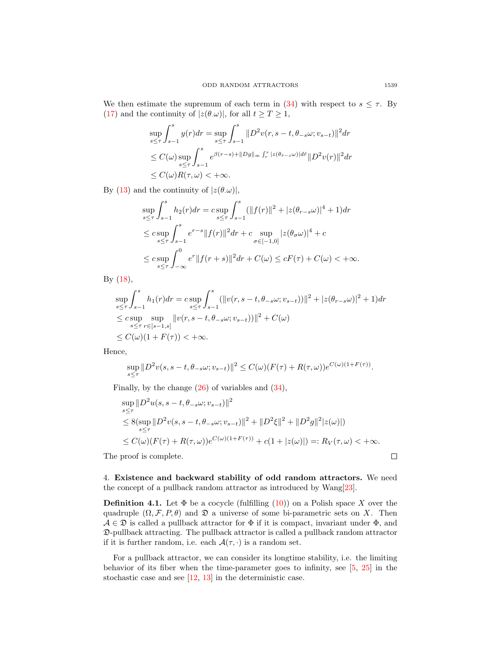We then estimate the supremum of each term in [\(34\)](#page-9-1) with respect to  $s \leq \tau$ . By [\(17\)](#page-5-2) and the continuity of  $|z(\theta,\omega)|$ , for all  $t \geq T \geq 1$ ,

$$
\sup_{s\leq\tau}\int_{s-1}^s y(r)dr = \sup_{s\leq\tau}\int_{s-1}^s \|D^2v(r, s-t, \theta_{-s}\omega; v_{s-t})\|^2 dr
$$
  
\n
$$
\leq C(\omega) \sup_{s\leq\tau}\int_{s-1}^s e^{\beta(r-s)+\|Dg\|_\infty \int_r^s |z(\theta_{r-s}\omega)| dr} \|D^2v(r)\|^2 dr
$$
  
\n
$$
\leq C(\omega)R(\tau, \omega) < +\infty.
$$

By [\(13\)](#page-4-4) and the continuity of  $|z(\theta,\omega)|$ ,

$$
\sup_{s \le \tau} \int_{s-1}^{s} h_2(r) dr = c \sup_{s \le \tau} \int_{s-1}^{s} (||f(r)||^2 + |z(\theta_{r-s}\omega)|^4 + 1) dr
$$
  
\n
$$
\le c \sup_{s \le \tau} \int_{s-1}^{s} e^{r-s} ||f(r)||^2 dr + c \sup_{\sigma \in [-1,0]} |z(\theta_{\sigma}\omega)|^4 + c
$$
  
\n
$$
\le c \sup_{s \le \tau} \int_{-\infty}^{0} e^r ||f(r+s)||^2 dr + C(\omega) \le cF(\tau) + C(\omega) < +\infty.
$$

By [\(18\)](#page-5-3),

$$
\sup_{s\leq \tau}\int_{s-1}^sh_1(r)dr = c\sup_{s\leq \tau}\int_{s-1}^s (||v(r,s-t,\theta_{-s}\omega;v_{s-t}))||^2 + |z(\theta_{r-s}\omega)|^2 + 1)dr
$$
  
\n
$$
\leq c\sup_{s\leq \tau}\sup_{r\in [s-1,s]}||v(r,s-t,\theta_{-s}\omega;v_{s-t}))||^2 + C(\omega)
$$
  
\n
$$
\leq C(\omega)(1+F(\tau)) < +\infty.
$$

Hence,

$$
\sup_{s\leq \tau} \|D^2 v(s,s-t,\theta_{-s}\omega;v_{s-t})\|^2 \leq C(\omega)(F(\tau)+R(\tau,\omega))e^{C(\omega)(1+F(\tau))}.
$$

Finally, by the change  $(26)$  of variables and  $(34)$ ,

$$
\sup_{s \le \tau} \|D^2 u(s, s - t, \theta_{-s} \omega; v_{s-t})\|^2
$$
  
\n
$$
\le 8(\sup_{s \le \tau} \|D^2 v(s, s - t, \theta_{-s} \omega; v_{s-t})\|^2 + \|D^2 \xi\|^2 + \|D^2 g\|^2 |z(\omega)|)
$$
  
\n
$$
\le C(\omega)(F(\tau) + R(\tau, \omega))e^{C(\omega)(1 + F(\tau))} + c(1 + |z(\omega)|) =: R_V(\tau, \omega) < +\infty.
$$

The proof is complete.

4. Existence and backward stability of odd random attractors. We need the concept of a pullback random attractor as introduced by Wang[\[23\]](#page-15-3).

**Definition 4.1.** Let  $\Phi$  be a cocycle (fulfilling  $(10)$ ) on a Polish space X over the quadruple  $(\Omega, \mathcal{F}, P, \theta)$  and  $\mathfrak{D}$  a universe of some bi-parametric sets on X. Then  $A \in \mathfrak{D}$  is called a pullback attractor for  $\Phi$  if it is compact, invariant under  $\Phi$ , and D-pullback attracting. The pullback attractor is called a pullback random attractor if it is further random, i.e. each  $\mathcal{A}(\tau, \cdot)$  is a random set.

For a pullback attractor, we can consider its longtime stability, i.e. the limiting behavior of its fiber when the time-parameter goes to infinity, see [\[5,](#page-14-17) [25\]](#page-15-6) in the stochastic case and see [\[12,](#page-14-9) [13\]](#page-14-10) in the deterministic case.

 $\Box$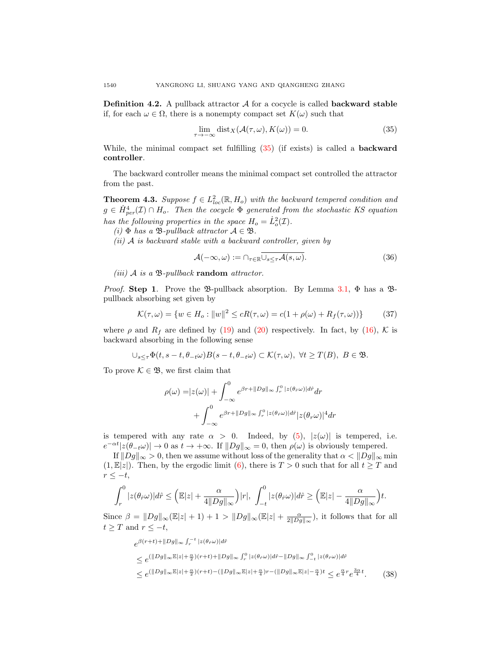**Definition 4.2.** A pullback attractor  $A$  for a cocycle is called **backward stable** if, for each  $\omega \in \Omega$ , there is a nonempty compact set  $K(\omega)$  such that

<span id="page-11-0"></span>
$$
\lim_{\tau \to -\infty} \text{dist}_X(\mathcal{A}(\tau, \omega), K(\omega)) = 0. \tag{35}
$$

While, the minimal compact set fulfilling [\(35\)](#page-11-0) (if exists) is called a backward controller.

The backward controller means the minimal compact set controlled the attractor from the past.

**Theorem 4.3.** Suppose  $f \in L^2_{loc}(\mathbb{R}, H_o)$  with the backward tempered condition and  $g \in \dot{H}_{per}^4(\mathcal{I}) \cap H_o$ . Then the cocycle  $\Phi$  generated from the stochastic KS equation has the following properties in the space  $H_o = \dot{L}_o^2(\mathcal{I}).$ 

(i)  $\Phi$  has a  $\mathfrak{B}\text{-}\text{pullback attractor } \mathcal{A} \in \mathfrak{B}.$ 

 $(ii)$  A is backward stable with a backward controller, given by

<span id="page-11-2"></span>
$$
\mathcal{A}(-\infty,\omega) := \cap_{\tau \in \mathbb{R}} \overline{\cup_{s \leq \tau} \mathcal{A}(s,\omega)}.
$$
 (36)

(iii)  $\mathcal A$  is a  $\mathfrak B$ -pullback random attractor.

*Proof.* Step 1. Prove the B-pullback absorption. By Lemma [3.1,](#page-5-6)  $\Phi$  has a Bpullback absorbing set given by

$$
\mathcal{K}(\tau,\omega) = \{ w \in H_o : ||w||^2 \le cR(\tau,\omega) = c(1 + \rho(\omega) + R_f(\tau,\omega)) \}
$$
(37)

where  $\rho$  and  $R_f$  are defined by [\(19\)](#page-5-7) and [\(20\)](#page-5-8) respectively. In fact, by [\(16\)](#page-5-1), K is backward absorbing in the following sense

$$
\cup_{s\leq \tau}\Phi(t,s-t,\theta_{-t}\omega)B(s-t,\theta_{-t}\omega)\subset \mathcal{K}(\tau,\omega),\ \forall t\geq T(B),\ B\in \mathfrak{B}.
$$

To prove  $\mathcal{K} \in \mathfrak{B}$ , we first claim that

$$
\rho(\omega) = |z(\omega)| + \int_{-\infty}^{0} e^{\beta r + ||Dg||_{\infty} \int_{r}^{0} |z(\theta_{\hat{r}}\omega)| d\hat{r}} dr
$$

$$
+ \int_{-\infty}^{0} e^{\beta r + ||Dg||_{\infty} \int_{r}^{0} |z(\theta_{\hat{r}}\omega)| d\hat{r}} |z(\theta_{r}\omega)|^{4} dr
$$

is tempered with any rate  $\alpha > 0$ . Indeed, by [\(5\)](#page-3-0),  $|z(\omega)|$  is tempered, i.e.  $e^{-\alpha t} |z(\theta_{-t}\omega)| \to 0$  as  $t \to +\infty$ . If  $||Dg||_{\infty} = 0$ , then  $\rho(\omega)$  is obviously tempered.

If  $||Dg||_{\infty} > 0$ , then we assume without loss of the generality that  $\alpha < ||Dg||_{\infty}$  min  $(1,\mathbb{E}|z|)$ . Then, by the ergodic limit [\(6\)](#page-3-1), there is  $T > 0$  such that for all  $t \geq T$  and  $r \leq -t$ ,

$$
\int_r^0 |z(\theta_{\hat{r}}\omega)|d\hat{r} \leq \left(\mathbb{E}|z| + \frac{\alpha}{4||Dg||_{\infty}}\right)|r|, \ \int_{-t}^0 |z(\theta_{\hat{r}}\omega)|d\hat{r} \geq \left(\mathbb{E}|z| - \frac{\alpha}{4||Dg||_{\infty}}\right)t.
$$

Since  $\beta = ||Dg||_{\infty}(\mathbb{E}|z| + 1) + 1 > ||Dg||_{\infty}(\mathbb{E}|z| + \frac{\alpha}{2||Dg||_{\infty}})$ , it follows that for all  $t \geq T$  and  $r \leq -t$ ,

<span id="page-11-1"></span>
$$
e^{\beta(r+t)+\|Dg\|_{\infty}\int_{r}^{-t}|z(\theta_{\hat{r}}\omega)|d\hat{r}}
$$
  
\n
$$
\leq e^{(\|Dg\|_{\infty}\mathbb{E}|z|+\frac{\alpha}{2})(r+t)+\|Dg\|_{\infty}\int_{r}^{0}|z(\theta_{\hat{r}}\omega)|d\hat{r}-\|Dg\|_{\infty}\int_{-t}^{0}|z(\theta_{\hat{r}}\omega)|d\hat{r}|}{\leq e^{(\|Dg\|_{\infty}\mathbb{E}|z|+\frac{\alpha}{2})(r+t)-(\|Dg\|_{\infty}\mathbb{E}|z|+\frac{\alpha}{4})r-(\|Dg\|_{\infty}\mathbb{E}|z|-\frac{\alpha}{4})t}\leq e^{\frac{2}{4}r}e^{\frac{3\alpha}{4}t}.
$$
 (38)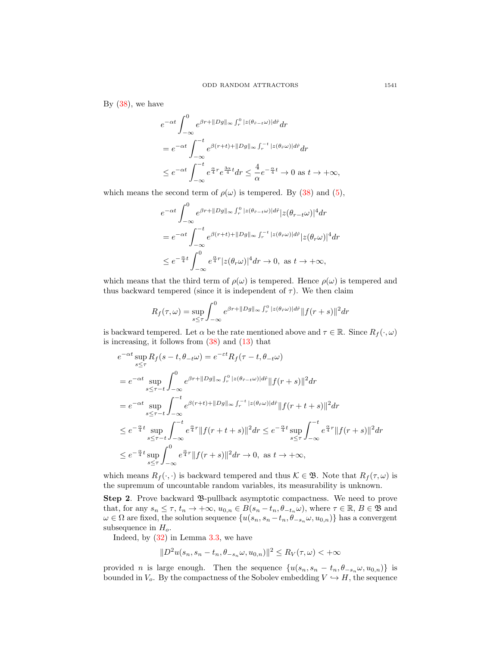By  $(38)$ , we have

$$
e^{-\alpha t} \int_{-\infty}^{0} e^{\beta r + ||Dg||_{\infty} \int_{r}^{0} |z(\theta_{\hat{r}-t}\omega)| d\hat{r}} dr
$$
  
\n
$$
= e^{-\alpha t} \int_{-\infty}^{-t} e^{\beta(r+t) + ||Dg||_{\infty} \int_{r}^{-t} |z(\theta_{\hat{r}}\omega)| d\hat{r}} dr
$$
  
\n
$$
\leq e^{-\alpha t} \int_{-\infty}^{-t} e^{\frac{\alpha}{4}r} e^{\frac{3\alpha}{4}t} dr \leq \frac{4}{\alpha} e^{-\frac{\alpha}{4}t} \to 0 \text{ as } t \to +\infty,
$$

which means the second term of  $\rho(\omega)$  is tempered. By [\(38\)](#page-11-1) and [\(5\)](#page-3-0),

$$
e^{-\alpha t} \int_{-\infty}^{0} e^{\beta r + ||Dg||_{\infty}} \int_{r}^{0} |z(\theta_{\hat{r}-t}\omega)| d\hat{r}| z(\theta_{r-t}\omega)|^{4} dr
$$
  
\n
$$
= e^{-\alpha t} \int_{-\infty}^{-t} e^{\beta(r+t) + ||Dg||_{\infty}} \int_{r}^{-t} |z(\theta_{\hat{r}}\omega)| d\hat{r}| z(\theta_{r}\omega)|^{4} dr
$$
  
\n
$$
\leq e^{-\frac{\alpha}{4}t} \int_{-\infty}^{0} e^{\frac{\alpha}{4}r} |z(\theta_{r}\omega)|^{4} dr \to 0, \text{ as } t \to +\infty,
$$

which means that the third term of  $\rho(\omega)$  is tempered. Hence  $\rho(\omega)$  is tempered and thus backward tempered (since it is independent of  $\tau$ ). We then claim

$$
R_f(\tau,\omega) = \sup_{s \le \tau} \int_{-\infty}^0 e^{\beta r + ||Dg||_{\infty} \int_r^0 |z(\theta_r \omega)| d\hat{r}} ||f(r+s)||^2 dr
$$

is backward tempered. Let  $\alpha$  be the rate mentioned above and  $\tau \in \mathbb{R}$ . Since  $R_f(\cdot, \omega)$ is increasing, it follows from  $(38)$  and  $(13)$  that

$$
e^{-\alpha t} \sup_{s \leq \tau} R_f(s - t, \theta_{-t}\omega) = e^{-\varepsilon t} R_f(\tau - t, \theta_{-t}\omega)
$$
  
\n
$$
= e^{-\alpha t} \sup_{s \leq \tau - t} \int_{-\infty}^0 e^{\beta r + ||Dg||_{\infty} \int_r^0 |z(\theta_{\hat{r}-t}\omega)| d\hat{r}} ||f(r+s)||^2 dr
$$
  
\n
$$
= e^{-\alpha t} \sup_{s \leq \tau - t} \int_{-\infty}^{-t} e^{\beta(r+t) + ||Dg||_{\infty} \int_r^{-t} |z(\theta_{\hat{r}}\omega)| d\hat{r}} ||f(r+t+s)||^2 dr
$$
  
\n
$$
\leq e^{-\frac{\alpha}{4}t} \sup_{s \leq \tau - t} \int_{-\infty}^{-t} e^{\frac{\alpha}{4}r} ||f(r+t+s)||^2 dr \leq e^{-\frac{\alpha}{4}t} \sup_{s \leq \tau} \int_{-\infty}^{-t} e^{\frac{\alpha}{4}r} ||f(r+s)||^2 dr
$$
  
\n
$$
\leq e^{-\frac{\alpha}{4}t} \sup_{s \leq \tau} \int_{-\infty}^0 e^{\frac{\alpha}{4}r} ||f(r+s)||^2 dr \to 0, \text{ as } t \to +\infty,
$$

which means  $R_f(\cdot, \cdot)$  is backward tempered and thus  $\mathcal{K} \in \mathfrak{B}$ . Note that  $R_f(\tau, \omega)$  is the supremum of uncountable random variables, its measurability is unknown.

Step 2. Prove backward  $\mathfrak{B}\text{-}\mathrm{pullback}$  asymptotic compactness. We need to prove that, for any  $s_n \leq \tau$ ,  $t_n \to +\infty$ ,  $u_{0,n} \in B(s_n - t_n, \theta_{-t_n}\omega)$ , where  $\tau \in \mathbb{R}$ ,  $B \in \mathfrak{B}$  and  $\omega \in \Omega$  are fixed, the solution sequence  $\{u(s_n, s_n - t_n, \theta_{-s_n}\omega, u_{0,n})\}$  has a convergent subsequence in  $H_o$ .

Indeed, by [\(32\)](#page-8-2) in Lemma [3.3,](#page-8-3) we have

$$
||D^2u(s_n, s_n-t_n, \theta_{-s_n}\omega, u_{0,n})||^2 \le R_V(\tau, \omega) < +\infty
$$

provided n is large enough. Then the sequence  $\{u(s_n, s_n - t_n, \theta_{-s_n}\omega, u_{0,n})\}$  is bounded in  $V_o$ . By the compactness of the Sobolev embedding  $V \hookrightarrow H$ , the sequence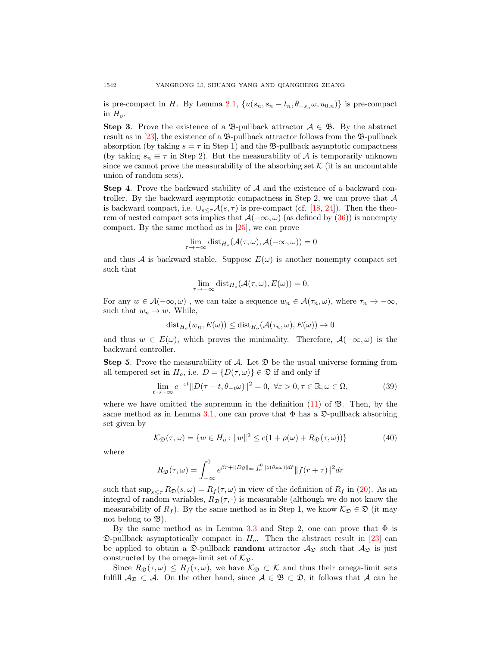is pre-compact in H. By Lemma [2.1,](#page-2-2)  $\{u(s_n, s_n - t_n, \theta_{-s_n}\omega, u_{0,n})\}\$ is pre-compact in  $H_{\alpha}$ .

Step 3. Prove the existence of a  $\mathfrak{B}$ -pullback attractor  $\mathcal{A} \in \mathfrak{B}$ . By the abstract result as in  $[23]$ , the existence of a  $\mathfrak{B}\text{-pullback}$  attractor follows from the  $\mathfrak{B}\text{-pullback}$ absorption (by taking  $s = \tau$  in Step 1) and the B-pullback asymptotic compactness (by taking  $s_n \equiv \tau$  in Step 2). But the measurability of A is temporarily unknown since we cannot prove the measurability of the absorbing set  $K$  (it is an uncountable union of random sets).

**Step 4.** Prove the backward stability of  $A$  and the existence of a backward controller. By the backward asymptotic compactness in Step 2, we can prove that  $A$ is backward compact, i.e.  $\cup_{s\leq\tau}\mathcal{A}(s,\tau)$  is pre-compact (cf. [\[18,](#page-14-18) [24\]](#page-15-8)). Then the theorem of nested compact sets implies that  $\mathcal{A}(-\infty, \omega)$  (as defined by [\(36\)](#page-11-2)) is nonempty compact. By the same method as in [\[25\]](#page-15-6), we can prove

$$
\lim_{\tau \to -\infty} \text{dist}_{H_o}(\mathcal{A}(\tau, \omega), \mathcal{A}(-\infty, \omega)) = 0
$$

and thus A is backward stable. Suppose  $E(\omega)$  is another nonempty compact set such that

$$
\lim_{\tau \to -\infty} \text{dist}_{H_o}(\mathcal{A}(\tau, \omega), E(\omega)) = 0.
$$

For any  $w \in A(-\infty, \omega)$ , we can take a sequence  $w_n \in A(\tau_n, \omega)$ , where  $\tau_n \to -\infty$ , such that  $w_n \to w$ . While,

$$
\mathrm{dist}_{H_o}(w_n, E(\omega)) \le \mathrm{dist}_{H_o}(\mathcal{A}(\tau_n, \omega), E(\omega)) \to 0
$$

and thus  $w \in E(\omega)$ , which proves the minimality. Therefore,  $\mathcal{A}(-\infty,\omega)$  is the backward controller.

**Step 5.** Prove the measurability of  $\mathcal{A}$ . Let  $\mathfrak{D}$  be the usual universe forming from all tempered set in  $H_o$ , i.e.  $D = \{D(\tau, \omega)\}\in \mathfrak{D}$  if and only if

$$
\lim_{t \to +\infty} e^{-\varepsilon t} \|D(\tau - t, \theta_{-t}\omega)\|^2 = 0, \ \forall \varepsilon > 0, \tau \in \mathbb{R}, \omega \in \Omega,
$$
\n(39)

where we have omitted the supremum in the definition  $(11)$  of  $\mathfrak{B}$ . Then, by the same method as in Lemma [3.1,](#page-5-6) one can prove that  $\Phi$  has a  $\mathfrak{D}\text{-pullback absorbing}$ set given by

$$
\mathcal{K}_{\mathfrak{D}}(\tau,\omega) = \{ w \in H_o : ||w||^2 \le c(1 + \rho(\omega) + R_{\mathfrak{D}}(\tau,\omega)) \}
$$
(40)

where

$$
R_{\mathfrak{D}}(\tau,\omega) = \int_{-\infty}^{0} e^{\beta r + ||Dg||_{\infty} \int_{r}^{0} |z(\theta_{\hat{r}}\omega)| d\hat{r}} ||f(r+\tau)||^{2} dr
$$

such that  $\sup_{s\leq \tau} R_{\mathfrak{D}}(s,\omega) = R_f(\tau,\omega)$  in view of the definition of  $R_f$  in [\(20\)](#page-5-8). As an integral of random variables,  $R_{\mathfrak{D}}(\tau, \cdot)$  is measurable (although we do not know the measurability of  $R_f$ ). By the same method as in Step 1, we know  $\mathcal{K}_{\mathfrak{D}} \in \mathfrak{D}$  (it may not belong to  $\mathfrak{B}$ ).

By the same method as in Lemma [3.3](#page-8-3) and Step 2, one can prove that  $\Phi$  is  $\mathfrak{D}\text{-}\text{pullback asymptotically compact in }H_o$ . Then the abstract result in [\[23\]](#page-15-3) can be applied to obtain a  $\mathfrak{D}\text{-pullback random attractor } \mathcal{A}_{\mathfrak{D}}$  such that  $\mathcal{A}_{\mathfrak{D}}$  is just constructed by the omega-limit set of  $\mathcal{K}_{\mathfrak{D}}$ .

Since  $R_{\mathfrak{D}}(\tau,\omega) \leq R_f(\tau,\omega)$ , we have  $\mathcal{K}_{\mathfrak{D}} \subset \mathcal{K}$  and thus their omega-limit sets fulfill  $A_{\mathfrak{D}} \subset A$ . On the other hand, since  $A \in \mathfrak{B} \subset \mathfrak{D}$ , it follows that A can be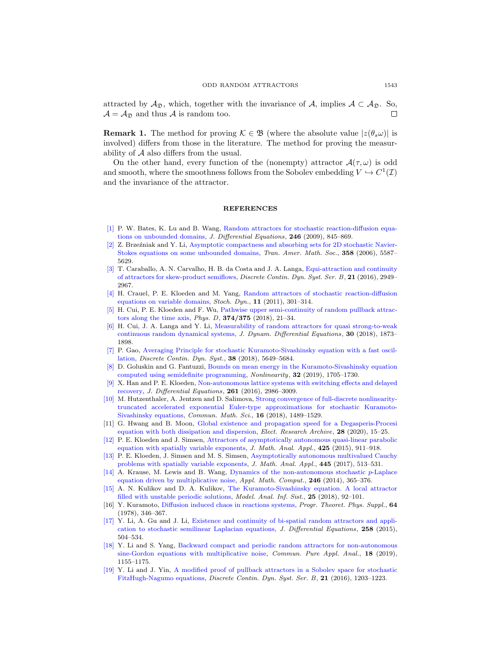attracted by  $\mathcal{A}_{\mathfrak{D}}$ , which, together with the invariance of  $\mathcal{A}$ , implies  $\mathcal{A} \subset \mathcal{A}_{\mathfrak{D}}$ . So,  $\mathcal{A} = \mathcal{A}_{\mathcal{D}}$  and thus A is random too.

**Remark 1.** The method for proving  $\mathcal{K} \in \mathfrak{B}$  (where the absolute value  $|z(\theta, \omega)|$  is involved) differs from those in the literature. The method for proving the measurability of A also differs from the usual.

On the other hand, every function of the (nonempty) attractor  $\mathcal{A}(\tau,\omega)$  is odd and smooth, where the smoothness follows from the Sobolev embedding  $V \hookrightarrow C^1(\mathcal{I})$ and the invariance of the attractor.

## **REFERENCES**

- <span id="page-14-11"></span>[\[1\]](http://www.ams.org/mathscinet-getitem?mr=MR2468738&return=pdf) P. W. Bates, K. Lu and B. Wang, [Random attractors for stochastic reaction-diffusion equa](http://dx.doi.org/10.1016/j.jde.2008.05.017)[tions on unbounded domains,](http://dx.doi.org/10.1016/j.jde.2008.05.017) J. Differential Equations, 246 (2009), 845–869.
- <span id="page-14-12"></span>[\[2\]](http://www.ams.org/mathscinet-getitem?mr=MR2238928&return=pdf) Z. Brzeźniak and Y. Li, [Asymptotic compactness and absorbing sets for 2D stochastic Navier-](http://dx.doi.org/10.1090/S0002-9947-06-03923-7)[Stokes equations on some unbounded domains,](http://dx.doi.org/10.1090/S0002-9947-06-03923-7) Tran. Amer. Math. Soc., 358 (2006), 5587– 5629.
- <span id="page-14-13"></span>[\[3\]](http://www.ams.org/mathscinet-getitem?mr=MR3567795&return=pdf) T. Caraballo, A. N. Carvalho, H. B. da Costa and J. A. Langa, [Equi-attraction and continuity](http://dx.doi.org/10.3934/dcdsb.2016081) [of attractors for skew-product semiflows,](http://dx.doi.org/10.3934/dcdsb.2016081) Discrete Contin. Dyn. Syst. Ser. B, 21 (2016), 2949– 2967.
- <span id="page-14-5"></span>[\[4\]](http://www.ams.org/mathscinet-getitem?mr=MR2836527&return=pdf) H. Crauel, P. E. Kloeden and M. Yang, [Random attractors of stochastic reaction-diffusion](http://dx.doi.org/10.1142/S0219493711003292) [equations on variable domains,](http://dx.doi.org/10.1142/S0219493711003292) Stoch. Dyn., 11 (2011), 301–314.
- <span id="page-14-17"></span>[\[5\]](http://www.ams.org/mathscinet-getitem?mr=MR3807081&return=pdf) H. Cui, P. E. Kloeden and F. Wu, [Pathwise upper semi-continuity of random pullback attrac](http://dx.doi.org/10.1016/j.physd.2018.03.002)[tors along the time axis,](http://dx.doi.org/10.1016/j.physd.2018.03.002) Phys. D, 374/375 (2018), 21–34.
- <span id="page-14-15"></span>[\[6\]](http://www.ams.org/mathscinet-getitem?mr=MR3871627&return=pdf) H. Cui, J. A. Langa and Y. Li, [Measurability of random attractors for quasi strong-to-weak](http://dx.doi.org/10.1007/s10884-017-9617-z) [continuous random dynamical systems,](http://dx.doi.org/10.1007/s10884-017-9617-z) J. Dynam. Differential Equations, 30 (2018), 1873– 1898.
- <span id="page-14-2"></span>[\[7\]](http://www.ams.org/mathscinet-getitem?mr=MR3917783&return=pdf) P. Gao, [Averaging Principle for stochastic Kuramoto-Sivashinsky equation with a fast oscil](http://dx.doi.org/10.3934/dcds.2018247)[lation,](http://dx.doi.org/10.3934/dcds.2018247) Discrete Contin. Dyn. Syst., 38 (2018), 5649–5684.
- <span id="page-14-3"></span>[\[8\]](http://www.ams.org/mathscinet-getitem?mr=MR3942598&return=pdf) D. Goluskin and G. Fantuzzi, [Bounds on mean energy in the Kuramoto-Sivashinsky equation](http://dx.doi.org/10.1088/1361-6544/ab018b) [computed using semidefinite programming,](http://dx.doi.org/10.1088/1361-6544/ab018b) Nonlinearity, 32 (2019), 1705–1730.
- <span id="page-14-7"></span>[\[9\]](http://www.ams.org/mathscinet-getitem?mr=MR3527620&return=pdf) X. Han and P. E. Kloeden, [Non-autonomous lattice systems with switching effects and delayed](http://dx.doi.org/10.1016/j.jde.2016.05.015) [recovery,](http://dx.doi.org/10.1016/j.jde.2016.05.015) J. Differential Equations,  $261$  (2016), 2986-3009.
- <span id="page-14-4"></span>[\[10\]](http://www.ams.org/mathscinet-getitem?mr=MR3919602&return=pdf) M. Hutzenthaler, A. Jentzen and D. Salimova, [Strong convergence of full-discrete nonlinearity](http://dx.doi.org/10.4310/CMS.2018.v16.n6.a2)[truncated accelerated exponential Euler-type approximations for stochastic Kuramoto-](http://dx.doi.org/10.4310/CMS.2018.v16.n6.a2)[Sivashinsky equations,](http://dx.doi.org/10.4310/CMS.2018.v16.n6.a2) Commun. Math. Sci., 16 (2018), 1489–1529.
- <span id="page-14-6"></span>[11] G. Hwang and B. Moon, [Global existence and propagation speed for a Degasperis-Procesi](http://dx.doi.org/10.3934/era.2020002) [equation with both dissipation and dispersion,](http://dx.doi.org/10.3934/era.2020002) *Elect. Research Archive*, **28** (2020), 15–25.
- <span id="page-14-9"></span>[\[12\]](http://www.ams.org/mathscinet-getitem?mr=MR3303900&return=pdf) P. E. Kloeden and J. Simsen, [Attractors of asymptotically autonomous quasi-linear parabolic](http://dx.doi.org/10.1016/j.jmaa.2014.12.069) [equation with spatially variable exponents,](http://dx.doi.org/10.1016/j.jmaa.2014.12.069) J. Math. Anal. Appl.,  $425$  (2015), 911–918.
- <span id="page-14-10"></span>[\[13\]](http://www.ams.org/mathscinet-getitem?mr=MR3543780&return=pdf) P. E. Kloeden, J. Simsen and M. S. Simsen, [Asymptotically autonomous multivalued Cauchy](http://dx.doi.org/10.1016/j.jmaa.2016.08.004) [problems with spatially variable exponents,](http://dx.doi.org/10.1016/j.jmaa.2016.08.004) J. Math. Anal. Appl., 445 (2017), 513–531.
- <span id="page-14-8"></span>[\[14\]](http://www.ams.org/mathscinet-getitem?mr=MR3265876&return=pdf) A. Krause, M. Lewis and B. Wang, [Dynamics of the non-autonomous stochastic](http://dx.doi.org/10.1016/j.amc.2014.08.033) p-Laplace [equation driven by multiplicative noise,](http://dx.doi.org/10.1016/j.amc.2014.08.033) Appl. Math. Comput., 246 (2014), 365-376.
- <span id="page-14-1"></span>[\[15\]](http://www.ams.org/mathscinet-getitem?mr=MR3770688&return=pdf) A. N. Kulikov and D. A. Kulikov, [The Kuramoto-Sivashinsky equation. A local attractor](http://dx.doi.org/10.18255/1818-1015-2018-1-92-101) [filled with unstable periodic solutions,](http://dx.doi.org/10.18255/1818-1015-2018-1-92-101) Model. Anal. Inf. Sist., 25 (2018), 92–101.
- <span id="page-14-0"></span>[16] Y. Kuramoto, [Diffusion induced chaos in reactions systems,](http://dx.doi.org/10.1143/PTPS.64.346) Progr. Theoret. Phys. Suppl., 64 (1978), 346–367.
- <span id="page-14-14"></span>[\[17\]](http://www.ams.org/mathscinet-getitem?mr=MR3274767&return=pdf) Y. Li, A. Gu and J. Li, [Existence and continuity of bi-spatial random attractors and appli](http://dx.doi.org/10.1016/j.jde.2014.09.021)[cation to stochastic semilinear Laplacian equations,](http://dx.doi.org/10.1016/j.jde.2014.09.021) J. Differential Equations, 258 (2015), 504–534.
- <span id="page-14-18"></span>[\[18\]](http://www.ams.org/mathscinet-getitem?mr=MR3917701&return=pdf) Y. Li and S. Yang, [Backward compact and periodic random attractors for non-autonomous](http://dx.doi.org/10.3934/cpaa.2019056) [sine-Gordon equations with multiplicative noise,](http://dx.doi.org/10.3934/cpaa.2019056) Commun. Pure Appl. Anal., 18 (2019), 1155–1175.
- <span id="page-14-16"></span>[\[19\]](http://www.ams.org/mathscinet-getitem?mr=MR3483559&return=pdf) Y. Li and J. Yin, [A modified proof of pullback attractors in a Sobolev space for stochastic](http://dx.doi.org/10.3934/dcdsb.2016.21.1203) [FitzHugh-Nagumo equations,](http://dx.doi.org/10.3934/dcdsb.2016.21.1203) Discrete Contin. Dyn. Syst. Ser. B, 21 (2016), 1203–1223.